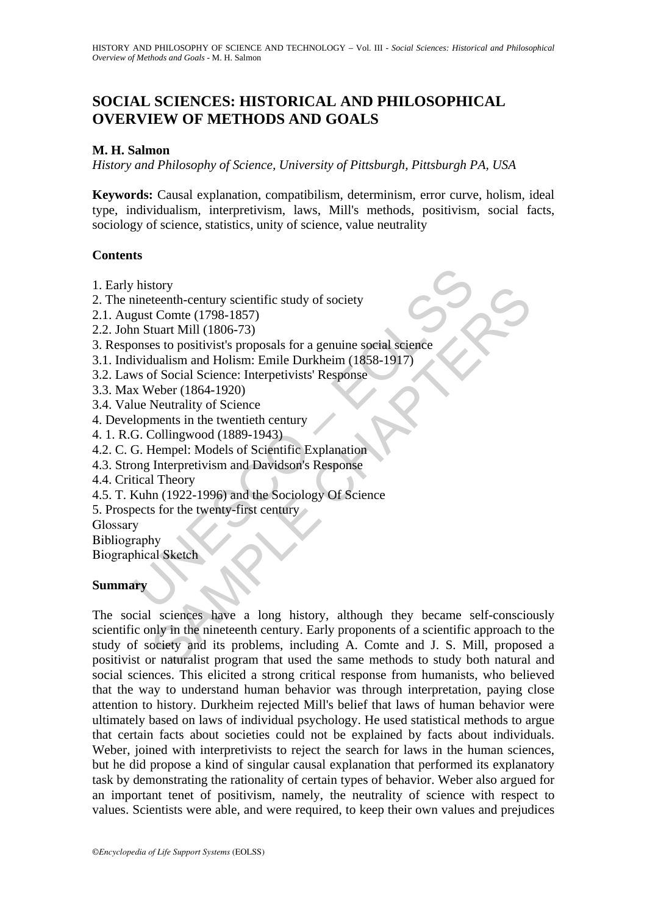# **SOCIAL SCIENCES: HISTORICAL AND PHILOSOPHICAL OVERVIEW OF METHODS AND GOALS**

### **M. H. Salmon**

*History and Philosophy of Science, University of Pittsburgh, Pittsburgh PA, USA* 

**Keywords:** Causal explanation, compatibilism, determinism, error curve, holism, ideal type, individualism, interpretivism, laws, Mill's methods, positivism, social facts, sociology of science, statistics, unity of science, value neutrality

#### **Contents**

- 1. Early history
- 2. The nineteenth-century scientific study of society
- 2.1. August Comte (1798-1857)
- 2.2. John Stuart Mill (1806-73)
- history<br>
inneteenth-century scientific study of society<br>
gust Comte (1798-1857)<br>
n Stuart Mill (1806-73)<br>
n Stuart Mill (1806-73)<br>
onses to positivist's proposals for a genuine social science<br>
ividualism and Holism: Emile 3. Responses to positivist's proposals for a genuine social science
- 3.1. Individualism and Holism: Emile Durkheim (1858-1917)
- 3.2. Laws of Social Science: Interpetivists' Response
- 3.3. Max Weber (1864-1920)
- 3.4. Value Neutrality of Science
- 4. Developments in the twentieth century
- 4. 1. R.G. Collingwood (1889-1943)
- 4.2. C. G. Hempel: Models of Scientific Explanation
- 4.3. Strong Interpretivism and Davidson's Response
- 4.4. Critical Theory
- 4.5. T. Kuhn (1922-1996) and the Sociology Of Science
- 5. Prospects for the twenty-first century
- Glossary
- Bibliography
- Biographical Sketch

#### **Summary**

Mory<br>
Steenth-century scientific study of society<br>
t Comte (1798-1857)<br>
tuart Mill (1806-73)<br>
tuart Mill (1806-73)<br>
tuart Mill (1806-73)<br>
tuart Mill (1806-73)<br>
blualism and Holism: Emile Durkheim (1858-1917)<br>
of Social Sci The social sciences have a long history, although they became self-consciously scientific only in the nineteenth century. Early proponents of a scientific approach to the study of society and its problems, including A. Comte and J. S. Mill, proposed a positivist or naturalist program that used the same methods to study both natural and social sciences. This elicited a strong critical response from humanists, who believed that the way to understand human behavior was through interpretation, paying close attention to history. Durkheim rejected Mill's belief that laws of human behavior were ultimately based on laws of individual psychology. He used statistical methods to argue that certain facts about societies could not be explained by facts about individuals. Weber, joined with interpretivists to reject the search for laws in the human sciences, but he did propose a kind of singular causal explanation that performed its explanatory task by demonstrating the rationality of certain types of behavior. Weber also argued for an important tenet of positivism, namely, the neutrality of science with respect to values. Scientists were able, and were required, to keep their own values and prejudices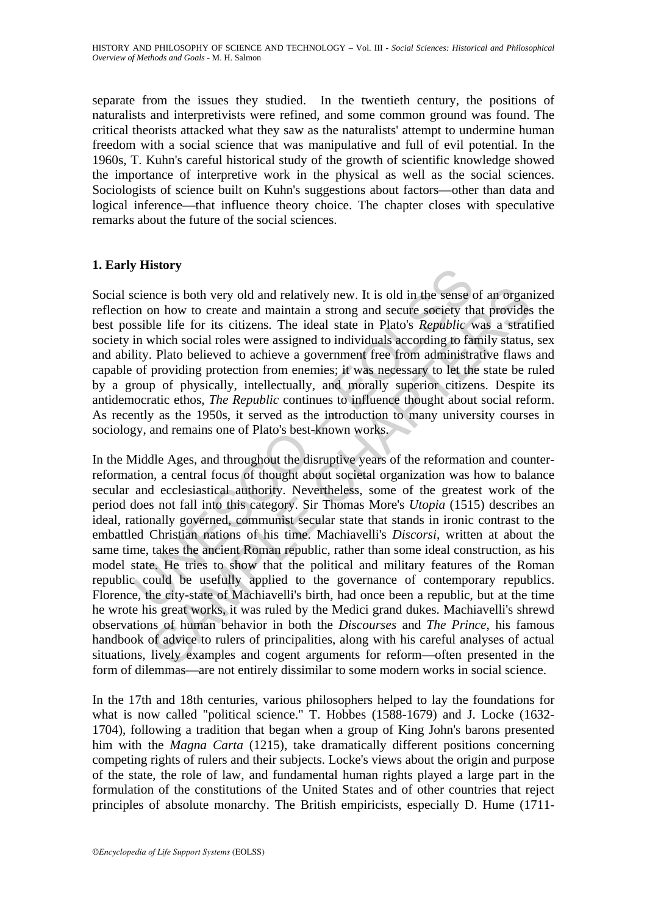separate from the issues they studied. In the twentieth century, the positions of naturalists and interpretivists were refined, and some common ground was found. The critical theorists attacked what they saw as the naturalists' attempt to undermine human freedom with a social science that was manipulative and full of evil potential. In the 1960s, T. Kuhn's careful historical study of the growth of scientific knowledge showed the importance of interpretive work in the physical as well as the social sciences. Sociologists of science built on Kuhn's suggestions about factors—other than data and logical inference—that influence theory choice. The chapter closes with speculative remarks about the future of the social sciences.

## **1. Early History**

Social science is both very old and relatively new. It is old in the sense of an organized reflection on how to create and maintain a strong and secure society that provides the best possible life for its citizens. The ideal state in Plato's *Republic* was a stratified society in which social roles were assigned to individuals according to family status, sex and ability. Plato believed to achieve a government free from administrative flaws and capable of providing protection from enemies; it was necessary to let the state be ruled by a group of physically, intellectually, and morally superior citizens. Despite its antidemocratic ethos, *The Republic* continues to influence thought about social reform. As recently as the 1950s, it served as the introduction to many university courses in sociology, and remains one of Plato's best-known works.

Final of the sense is both very old and relatively new. It is old in the sense come on on how to create and maintain a strong and secure society the sosible life for its citizens. The ideal state in Plato's *Republic* with nce is both very old and relatively new. It is old in the sense of an organ<br>on how to create and maintain a strong and secure society that provides<br>be life for its citizens. The ideal state in Plato's *Republic* was a stra In the Middle Ages, and throughout the disruptive years of the reformation and counterreformation, a central focus of thought about societal organization was how to balance secular and ecclesiastical authority. Nevertheless, some of the greatest work of the period does not fall into this category. Sir Thomas More's *Utopia* (1515) describes an ideal, rationally governed, communist secular state that stands in ironic contrast to the embattled Christian nations of his time. Machiavelli's *Discorsi*, written at about the same time, takes the ancient Roman republic, rather than some ideal construction, as his model state. He tries to show that the political and military features of the Roman republic could be usefully applied to the governance of contemporary republics. Florence, the city-state of Machiavelli's birth, had once been a republic, but at the time he wrote his great works, it was ruled by the Medici grand dukes. Machiavelli's shrewd observations of human behavior in both the *Discourses* and *The Prince*, his famous handbook of advice to rulers of principalities, along with his careful analyses of actual situations, lively examples and cogent arguments for reform—often presented in the form of dilemmas—are not entirely dissimilar to some modern works in social science.

In the 17th and 18th centuries, various philosophers helped to lay the foundations for what is now called "political science." T. Hobbes (1588-1679) and J. Locke (1632- 1704), following a tradition that began when a group of King John's barons presented him with the *Magna Carta* (1215), take dramatically different positions concerning competing rights of rulers and their subjects. Locke's views about the origin and purpose of the state, the role of law, and fundamental human rights played a large part in the formulation of the constitutions of the United States and of other countries that reject principles of absolute monarchy. The British empiricists, especially D. Hume (1711-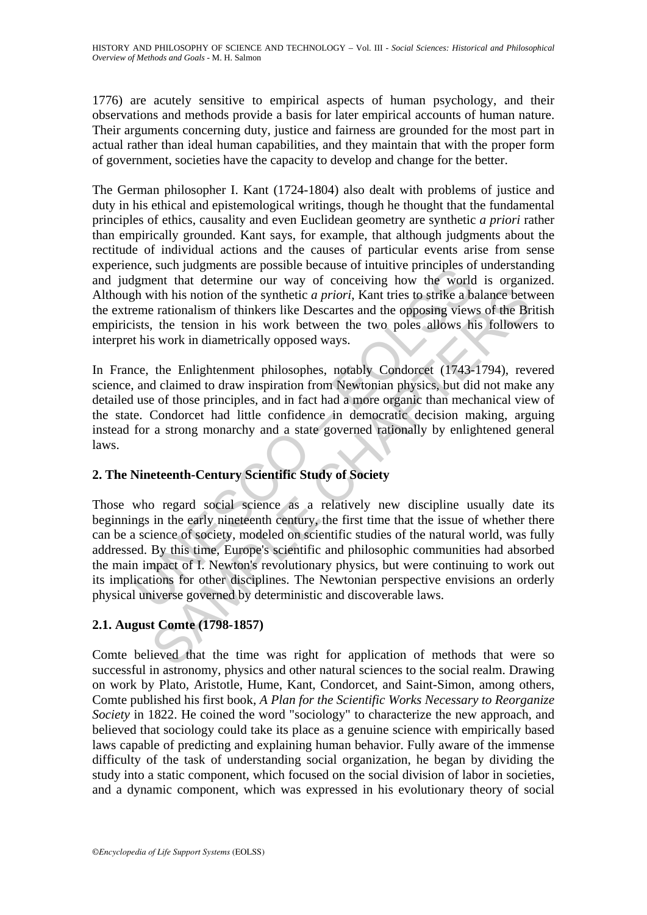1776) are acutely sensitive to empirical aspects of human psychology, and their observations and methods provide a basis for later empirical accounts of human nature. Their arguments concerning duty, justice and fairness are grounded for the most part in actual rather than ideal human capabilities, and they maintain that with the proper form of government, societies have the capacity to develop and change for the better.

The German philosopher I. Kant (1724-1804) also dealt with problems of justice and duty in his ethical and epistemological writings, though he thought that the fundamental principles of ethics, causality and even Euclidean geometry are synthetic *a priori* rather than empirically grounded. Kant says, for example, that although judgments about the rectitude of individual actions and the causes of particular events arise from sense experience, such judgments are possible because of intuitive principles of understanding and judgment that determine our way of conceiving how the world is organized. Although with his notion of the synthetic *a priori*, Kant tries to strike a balance between the extreme rationalism of thinkers like Descartes and the opposing views of the British empiricists, the tension in his work between the two poles allows his followers to interpret his work in diametrically opposed ways.

In France, the Enlightenment philosophes, notably Condorcet (1743-1794), revered science, and claimed to draw inspiration from Newtonian physics, but did not make any detailed use of those principles, and in fact had a more organic than mechanical view of the state. Condorcet had little confidence in democratic decision making, arguing instead for a strong monarchy and a state governed rationally by enlightened general laws.

## **2. The Nineteenth-Century Scientific Study of Society**

the surfride state possible decades of minutive primepters on<br>the lignent that determine our way of conceiving how the world<br>th with his notion of the synthetic *a priori*, Kant tries to strike a b<br>eme rationalism of think with his notion of the synthetic *a priori*, Kant ries to strike a balance between the rationalism of thinkers like Descartes and the opposing views of the Br, the tension in his work between the two poles allows his foll Those who regard social science as a relatively new discipline usually date its beginnings in the early nineteenth century, the first time that the issue of whether there can be a science of society, modeled on scientific studies of the natural world, was fully addressed. By this time, Europe's scientific and philosophic communities had absorbed the main impact of I. Newton's revolutionary physics, but were continuing to work out its implications for other disciplines. The Newtonian perspective envisions an orderly physical universe governed by deterministic and discoverable laws.

# **2.1. August Comte (1798-1857)**

Comte believed that the time was right for application of methods that were so successful in astronomy, physics and other natural sciences to the social realm. Drawing on work by Plato, Aristotle, Hume, Kant, Condorcet, and Saint-Simon, among others, Comte published his first book, *A Plan for the Scientific Works Necessary to Reorganize Society* in 1822. He coined the word "sociology" to characterize the new approach, and believed that sociology could take its place as a genuine science with empirically based laws capable of predicting and explaining human behavior. Fully aware of the immense difficulty of the task of understanding social organization, he began by dividing the study into a static component, which focused on the social division of labor in societies, and a dynamic component, which was expressed in his evolutionary theory of social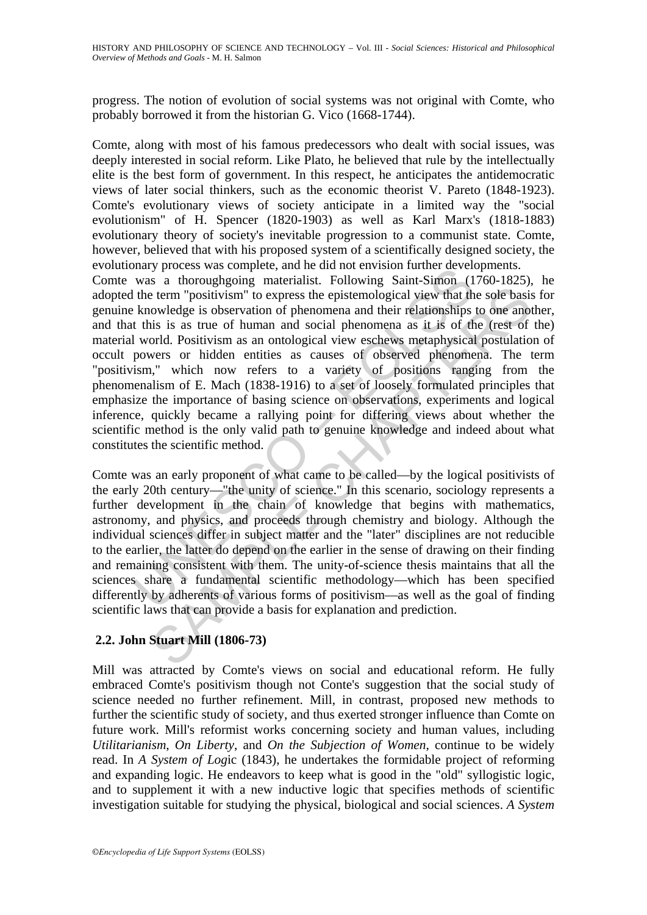progress. The notion of evolution of social systems was not original with Comte, who probably borrowed it from the historian G. Vico (1668-1744).

Comte, along with most of his famous predecessors who dealt with social issues, was deeply interested in social reform. Like Plato, he believed that rule by the intellectually elite is the best form of government. In this respect, he anticipates the antidemocratic views of later social thinkers, such as the economic theorist V. Pareto (1848-1923). Comte's evolutionary views of society anticipate in a limited way the "social evolutionism" of H. Spencer (1820-1903) as well as Karl Marx's (1818-1883) evolutionary theory of society's inevitable progression to a communist state. Comte, however, believed that with his proposed system of a scientifically designed society, the evolutionary process was complete, and he did not envision further developments.

many process was complete, and ne unit of entrystom further develops<br>was a thoroughgoing materialist. Following Saint-Simon (1<br>the term "positivism" to express the epistemological view that the<br>knowledge is observation of Eterm "positivism" to express the epistemological view that the sole basis<br>owledge is observation of phenomena and their relationships to one anoto<br>owledge is observation of phenomena and their relationships to one anotic<br> Comte was a thoroughgoing materialist. Following Saint-Simon (1760-1825), he adopted the term "positivism" to express the epistemological view that the sole basis for genuine knowledge is observation of phenomena and their relationships to one another, and that this is as true of human and social phenomena as it is of the (rest of the) material world. Positivism as an ontological view eschews metaphysical postulation of occult powers or hidden entities as causes of observed phenomena. The term "positivism," which now refers to a variety of positions ranging from the phenomenalism of E. Mach (1838-1916) to a set of loosely formulated principles that emphasize the importance of basing science on observations, experiments and logical inference, quickly became a rallying point for differing views about whether the scientific method is the only valid path to genuine knowledge and indeed about what constitutes the scientific method.

Comte was an early proponent of what came to be called—by the logical positivists of the early 20th century—"the unity of science." In this scenario, sociology represents a further development in the chain of knowledge that begins with mathematics, astronomy, and physics, and proceeds through chemistry and biology. Although the individual sciences differ in subject matter and the "later" disciplines are not reducible to the earlier, the latter do depend on the earlier in the sense of drawing on their finding and remaining consistent with them. The unity-of-science thesis maintains that all the sciences share a fundamental scientific methodology—which has been specified differently by adherents of various forms of positivism—as well as the goal of finding scientific laws that can provide a basis for explanation and prediction.

## **2.2. John Stuart Mill (1806-73)**

Mill was attracted by Comte's views on social and educational reform. He fully embraced Comte's positivism though not Conte's suggestion that the social study of science needed no further refinement. Mill, in contrast, proposed new methods to further the scientific study of society, and thus exerted stronger influence than Comte on future work. Mill's reformist works concerning society and human values, including *Utilitarianism*, *On Liberty*, and *On the Subjection of Women*, continue to be widely read. In *A System of Log*ic (1843), he undertakes the formidable project of reforming and expanding logic. He endeavors to keep what is good in the "old" syllogistic logic, and to supplement it with a new inductive logic that specifies methods of scientific investigation suitable for studying the physical, biological and social sciences. *A System*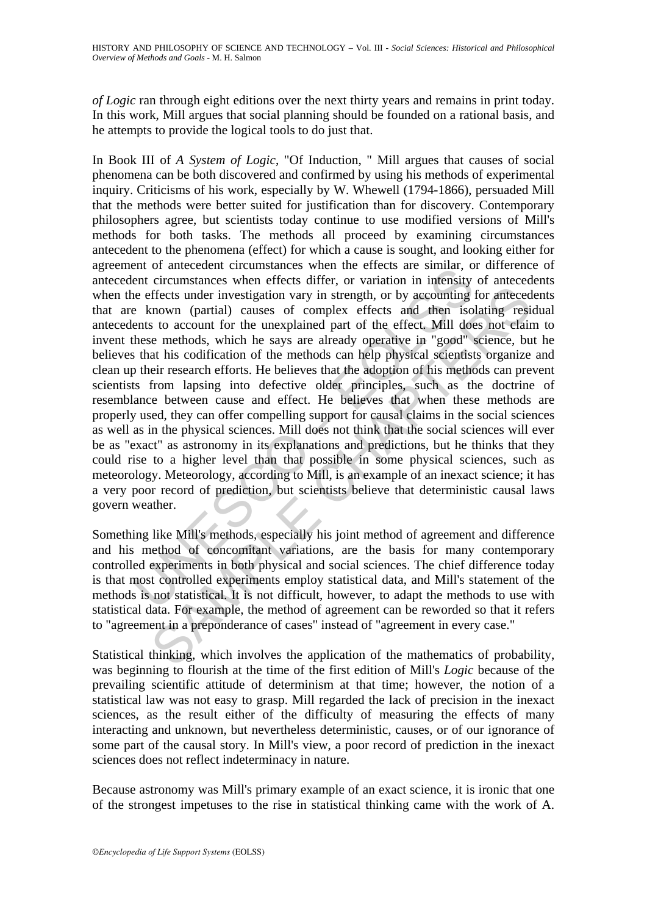*of Logic* ran through eight editions over the next thirty years and remains in print today. In this work, Mill argues that social planning should be founded on a rational basis, and he attempts to provide the logical tools to do just that.

End the effected thrumisaties when the effects are summar, of antesticant entimentation and contact are summar, or the effects under investigation vary in strength, or by accounting a known (partial) causes of complex effe ffects under investigation vary in strength, or by accounting for anteced<br>cnown (partial) causes of complex effects and then isolating resisues to account for the unexplained part of the effect. Mill does not elain<br>to the In Book III of *A System of Logic*, "Of Induction, " Mill argues that causes of social phenomena can be both discovered and confirmed by using his methods of experimental inquiry. Criticisms of his work, especially by W. Whewell (1794-1866), persuaded Mill that the methods were better suited for justification than for discovery. Contemporary philosophers agree, but scientists today continue to use modified versions of Mill's methods for both tasks. The methods all proceed by examining circumstances antecedent to the phenomena (effect) for which a cause is sought, and looking either for agreement of antecedent circumstances when the effects are similar, or difference of antecedent circumstances when effects differ, or variation in intensity of antecedents when the effects under investigation vary in strength, or by accounting for antecedents that are known (partial) causes of complex effects and then isolating residual antecedents to account for the unexplained part of the effect. Mill does not claim to invent these methods, which he says are already operative in "good" science, but he believes that his codification of the methods can help physical scientists organize and clean up their research efforts. He believes that the adoption of his methods can prevent scientists from lapsing into defective older principles, such as the doctrine of resemblance between cause and effect. He believes that when these methods are properly used, they can offer compelling support for causal claims in the social sciences as well as in the physical sciences. Mill does not think that the social sciences will ever be as "exact" as astronomy in its explanations and predictions, but he thinks that they could rise to a higher level than that possible in some physical sciences, such as meteorology. Meteorology, according to Mill, is an example of an inexact science; it has a very poor record of prediction, but scientists believe that deterministic causal laws govern weather.

Something like Mill's methods, especially his joint method of agreement and difference and his method of concomitant variations, are the basis for many contemporary controlled experiments in both physical and social sciences. The chief difference today is that most controlled experiments employ statistical data, and Mill's statement of the methods is not statistical. It is not difficult, however, to adapt the methods to use with statistical data. For example, the method of agreement can be reworded so that it refers to "agreement in a preponderance of cases" instead of "agreement in every case."

Statistical thinking, which involves the application of the mathematics of probability, was beginning to flourish at the time of the first edition of Mill's *Logic* because of the prevailing scientific attitude of determinism at that time; however, the notion of a statistical law was not easy to grasp. Mill regarded the lack of precision in the inexact sciences, as the result either of the difficulty of measuring the effects of many interacting and unknown, but nevertheless deterministic, causes, or of our ignorance of some part of the causal story. In Mill's view, a poor record of prediction in the inexact sciences does not reflect indeterminacy in nature.

Because astronomy was Mill's primary example of an exact science, it is ironic that one of the strongest impetuses to the rise in statistical thinking came with the work of A.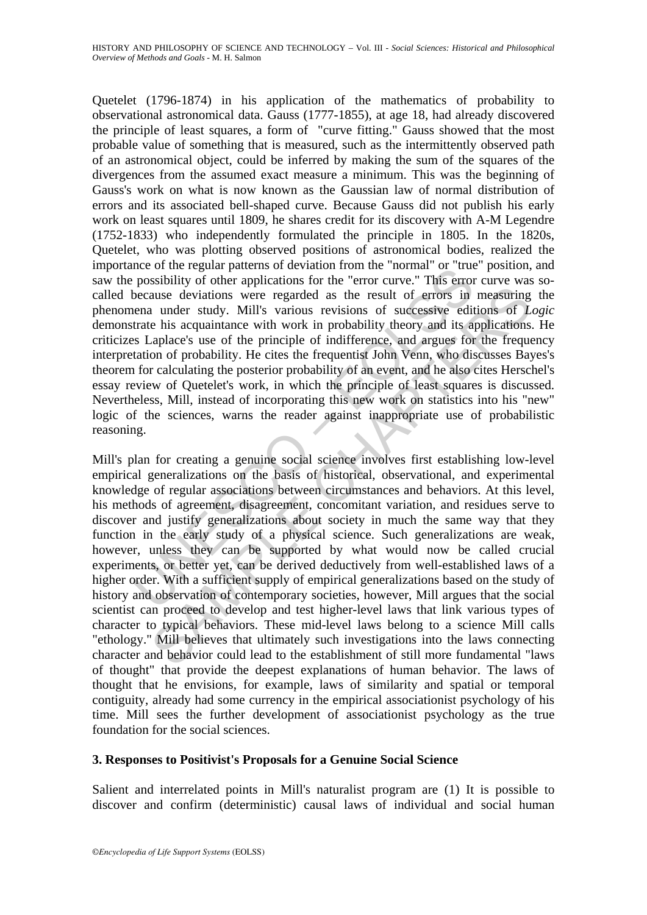me or the regular particles in deviation of the information the form the form the form and the possibility of other applications for the "error curve." This error because deviations were regarded as the result of errors in Quetelet (1796-1874) in his application of the mathematics of probability to observational astronomical data. Gauss (1777-1855), at age 18, had already discovered the principle of least squares, a form of "curve fitting." Gauss showed that the most probable value of something that is measured, such as the intermittently observed path of an astronomical object, could be inferred by making the sum of the squares of the divergences from the assumed exact measure a minimum. This was the beginning of Gauss's work on what is now known as the Gaussian law of normal distribution of errors and its associated bell-shaped curve. Because Gauss did not publish his early work on least squares until 1809, he shares credit for its discovery with A-M Legendre (1752-1833) who independently formulated the principle in 1805. In the 1820s, Quetelet, who was plotting observed positions of astronomical bodies, realized the importance of the regular patterns of deviation from the "normal" or "true" position, and saw the possibility of other applications for the "error curve." This error curve was socalled because deviations were regarded as the result of errors in measuring the phenomena under study. Mill's various revisions of successive editions of *Logic* demonstrate his acquaintance with work in probability theory and its applications. He criticizes Laplace's use of the principle of indifference, and argues for the frequency interpretation of probability. He cites the frequentist John Venn, who discusses Bayes's theorem for calculating the posterior probability of an event, and he also cites Herschel's essay review of Quetelet's work, in which the principle of least squares is discussed. Nevertheless, Mill, instead of incorporating this new work on statistics into his "new" logic of the sciences, warns the reader against inappropriate use of probabilistic reasoning.

ause deviations were regarded as the result of errors in measuring<br>ause deviations were regarded as the result of errors in measuring<br>a under study. Mill's various revisions of successive editions of L<br>e his acquaintance w Mill's plan for creating a genuine social science involves first establishing low-level empirical generalizations on the basis of historical, observational, and experimental knowledge of regular associations between circumstances and behaviors. At this level, his methods of agreement, disagreement, concomitant variation, and residues serve to discover and justify generalizations about society in much the same way that they function in the early study of a physical science. Such generalizations are weak, however, unless they can be supported by what would now be called crucial experiments, or better yet, can be derived deductively from well-established laws of a higher order. With a sufficient supply of empirical generalizations based on the study of history and observation of contemporary societies, however, Mill argues that the social scientist can proceed to develop and test higher-level laws that link various types of character to typical behaviors. These mid-level laws belong to a science Mill calls "ethology." Mill believes that ultimately such investigations into the laws connecting character and behavior could lead to the establishment of still more fundamental "laws of thought" that provide the deepest explanations of human behavior. The laws of thought that he envisions, for example, laws of similarity and spatial or temporal contiguity, already had some currency in the empirical associationist psychology of his time. Mill sees the further development of associationist psychology as the true foundation for the social sciences.

## **3. Responses to Positivist's Proposals for a Genuine Social Science**

Salient and interrelated points in Mill's naturalist program are (1) It is possible to discover and confirm (deterministic) causal laws of individual and social human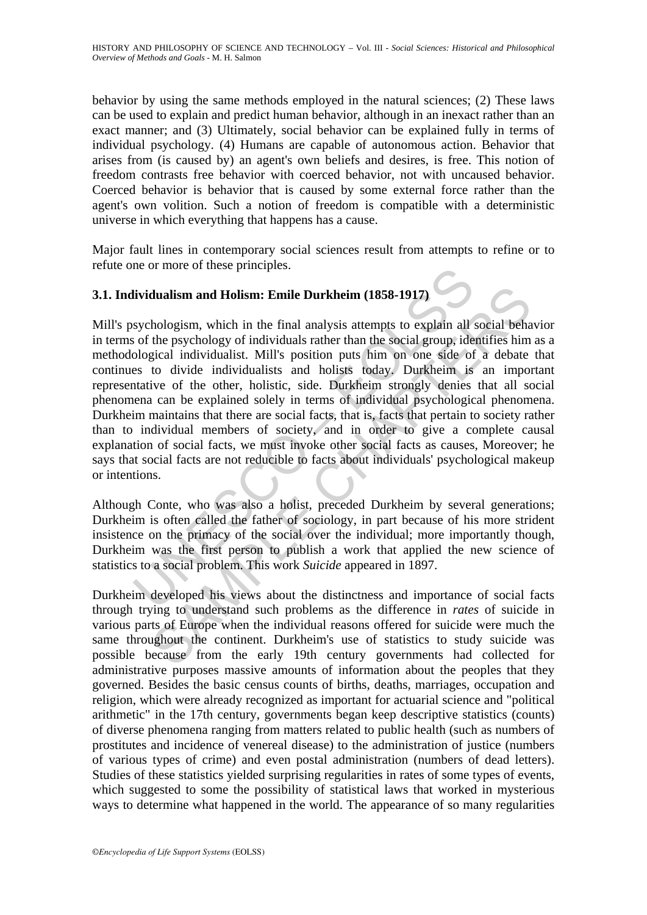behavior by using the same methods employed in the natural sciences; (2) These laws can be used to explain and predict human behavior, although in an inexact rather than an exact manner; and (3) Ultimately, social behavior can be explained fully in terms of individual psychology. (4) Humans are capable of autonomous action. Behavior that arises from (is caused by) an agent's own beliefs and desires, is free. This notion of freedom contrasts free behavior with coerced behavior, not with uncaused behavior. Coerced behavior is behavior that is caused by some external force rather than the agent's own volition. Such a notion of freedom is compatible with a deterministic universe in which everything that happens has a cause.

Major fault lines in contemporary social sciences result from attempts to refine or to refute one or more of these principles.

## **3.1. Individualism and Holism: Emile Durkheim (1858-1917)**

lividualism and Holism: Emile Durkheim (1858-1917)<br>sychologism, which in the final analysis attempts to explain all<br>so of the psychology of individuals rather than the social group, ide<br>ological individualist. Mill's posit dualism and Holism: Emile Durkheim (1858-1917)<br>hologism, which in the final analysis attempts to explain all social behat the psychology of individuals rather than the social group, identifies him<br>gical individualist. Mill Mill's psychologism, which in the final analysis attempts to explain all social behavior in terms of the psychology of individuals rather than the social group, identifies him as a methodological individualist. Mill's position puts him on one side of a debate that continues to divide individualists and holists today. Durkheim is an important representative of the other, holistic, side. Durkheim strongly denies that all social phenomena can be explained solely in terms of individual psychological phenomena. Durkheim maintains that there are social facts, that is, facts that pertain to society rather than to individual members of society, and in order to give a complete causal explanation of social facts, we must invoke other social facts as causes, Moreover; he says that social facts are not reducible to facts about individuals' psychological makeup or intentions.

Although Conte, who was also a holist, preceded Durkheim by several generations; Durkheim is often called the father of sociology, in part because of his more strident insistence on the primacy of the social over the individual; more importantly though, Durkheim was the first person to publish a work that applied the new science of statistics to a social problem. This work *Suicide* appeared in 1897.

Durkheim developed his views about the distinctness and importance of social facts through trying to understand such problems as the difference in *rates* of suicide in various parts of Europe when the individual reasons offered for suicide were much the same throughout the continent. Durkheim's use of statistics to study suicide was possible because from the early 19th century governments had collected for administrative purposes massive amounts of information about the peoples that they governed. Besides the basic census counts of births, deaths, marriages, occupation and religion, which were already recognized as important for actuarial science and "political arithmetic" in the 17th century, governments began keep descriptive statistics (counts) of diverse phenomena ranging from matters related to public health (such as numbers of prostitutes and incidence of venereal disease) to the administration of justice (numbers of various types of crime) and even postal administration (numbers of dead letters). Studies of these statistics yielded surprising regularities in rates of some types of events, which suggested to some the possibility of statistical laws that worked in mysterious ways to determine what happened in the world. The appearance of so many regularities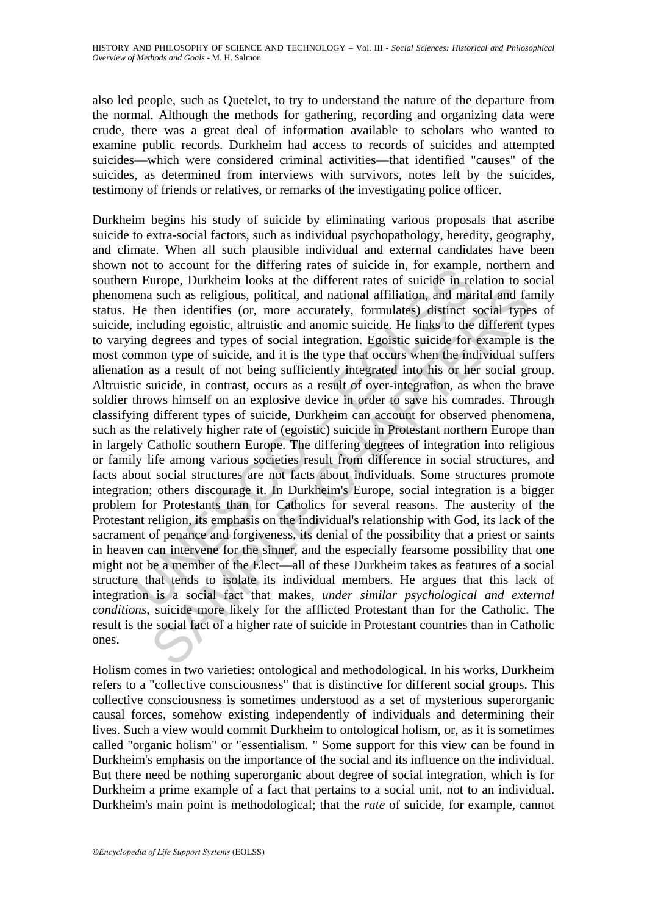also led people, such as Quetelet, to try to understand the nature of the departure from the normal. Although the methods for gathering, recording and organizing data were crude, there was a great deal of information available to scholars who wanted to examine public records. Durkheim had access to records of suicides and attempted suicides—which were considered criminal activities—that identified "causes" of the suicides, as determined from interviews with survivors, notes left by the suicides, testimony of friends or relatives, or remarks of the investigating police officer.

not to account of the unreing lates of sature in, to example and the material and the material and national affiliation, and mar-<br>He then identifies (or, more accurately, formulates) distinct is including egoistic, altruis a such as religious, political, and national affiliation, and marital and far<br>then identifies (or, more accurately, formulates) distinct social type<br>lubing egoistic, altruistic and anomic suicide. He links to the different Durkheim begins his study of suicide by eliminating various proposals that ascribe suicide to extra-social factors, such as individual psychopathology, heredity, geography, and climate. When all such plausible individual and external candidates have been shown not to account for the differing rates of suicide in, for example, northern and southern Europe, Durkheim looks at the different rates of suicide in relation to social phenomena such as religious, political, and national affiliation, and marital and family status. He then identifies (or, more accurately, formulates) distinct social types of suicide, including egoistic, altruistic and anomic suicide. He links to the different types to varying degrees and types of social integration. Egoistic suicide for example is the most common type of suicide, and it is the type that occurs when the individual suffers alienation as a result of not being sufficiently integrated into his or her social group. Altruistic suicide, in contrast, occurs as a result of over-integration, as when the brave soldier throws himself on an explosive device in order to save his comrades. Through classifying different types of suicide, Durkheim can account for observed phenomena, such as the relatively higher rate of (egoistic) suicide in Protestant northern Europe than in largely Catholic southern Europe. The differing degrees of integration into religious or family life among various societies result from difference in social structures, and facts about social structures are not facts about individuals. Some structures promote integration; others discourage it. In Durkheim's Europe, social integration is a bigger problem for Protestants than for Catholics for several reasons. The austerity of the Protestant religion, its emphasis on the individual's relationship with God, its lack of the sacrament of penance and forgiveness, its denial of the possibility that a priest or saints in heaven can intervene for the sinner, and the especially fearsome possibility that one might not be a member of the Elect—all of these Durkheim takes as features of a social structure that tends to isolate its individual members. He argues that this lack of integration is a social fact that makes, *under similar psychological and external conditions*, suicide more likely for the afflicted Protestant than for the Catholic. The result is the social fact of a higher rate of suicide in Protestant countries than in Catholic ones.

Holism comes in two varieties: ontological and methodological. In his works, Durkheim refers to a "collective consciousness" that is distinctive for different social groups. This collective consciousness is sometimes understood as a set of mysterious superorganic causal forces, somehow existing independently of individuals and determining their lives. Such a view would commit Durkheim to ontological holism, or, as it is sometimes called "organic holism" or "essentialism. " Some support for this view can be found in Durkheim's emphasis on the importance of the social and its influence on the individual. But there need be nothing superorganic about degree of social integration, which is for Durkheim a prime example of a fact that pertains to a social unit, not to an individual. Durkheim's main point is methodological; that the *rate* of suicide, for example, cannot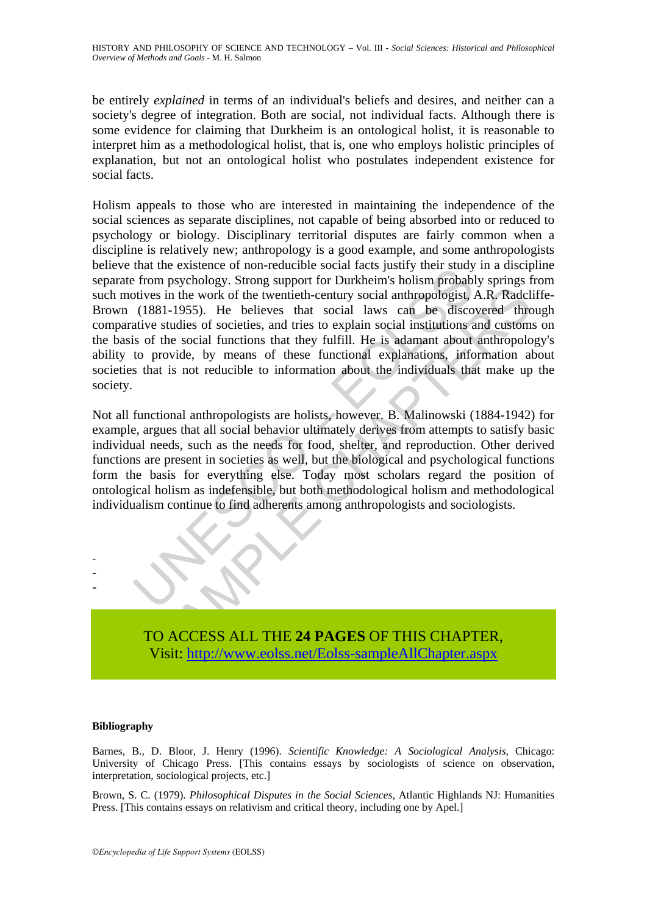be entirely *explained* in terms of an individual's beliefs and desires, and neither can a society's degree of integration. Both are social, not individual facts. Although there is some evidence for claiming that Durkheim is an ontological holist, it is reasonable to interpret him as a methodological holist, that is, one who employs holistic principles of explanation, but not an ontological holist who postulates independent existence for social facts.

that the existence of non-eleation because accusing the from psychology. Strong support for Durkheim's holism probably the strate of non-eleation of the twentieth-century social anthropologist, (1881-1955). He believes tha is in the work of the twentieth-century social anthropologist, A.R. Radcless in the work of the twentieth-century social anthropologist, A.R. Radcless 1-1955). He believes that social laws can be discovered three studies o Holism appeals to those who are interested in maintaining the independence of the social sciences as separate disciplines, not capable of being absorbed into or reduced to psychology or biology. Disciplinary territorial disputes are fairly common when a discipline is relatively new; anthropology is a good example, and some anthropologists believe that the existence of non-reducible social facts justify their study in a discipline separate from psychology. Strong support for Durkheim's holism probably springs from such motives in the work of the twentieth-century social anthropologist, A.R. Radcliffe-Brown (1881-1955). He believes that social laws can be discovered through comparative studies of societies, and tries to explain social institutions and customs on the basis of the social functions that they fulfill. He is adamant about anthropology's ability to provide, by means of these functional explanations, information about societies that is not reducible to information about the individuals that make up the society.

Not all functional anthropologists are holists, however. B. Malinowski (1884-1942) for example, argues that all social behavior ultimately derives from attempts to satisfy basic individual needs, such as the needs for food, shelter, and reproduction. Other derived functions are present in societies as well, but the biological and psychological functions form the basis for everything else. Today most scholars regard the position of ontological holism as indefensible, but both methodological holism and methodological individualism continue to find adherents among anthropologists and sociologists.



#### **Bibliography**

- - -

Barnes, B., D. Bloor, J. Henry (1996). *Scientific Knowledge: A Sociological Analysis*, Chicago: University of Chicago Press. [This contains essays by sociologists of science on observation, interpretation, sociological projects, etc.]

Brown, S. C. (1979). *Philosophical Disputes in the Social Sciences*, Atlantic Highlands NJ: Humanities Press. [This contains essays on relativism and critical theory, including one by Apel.]